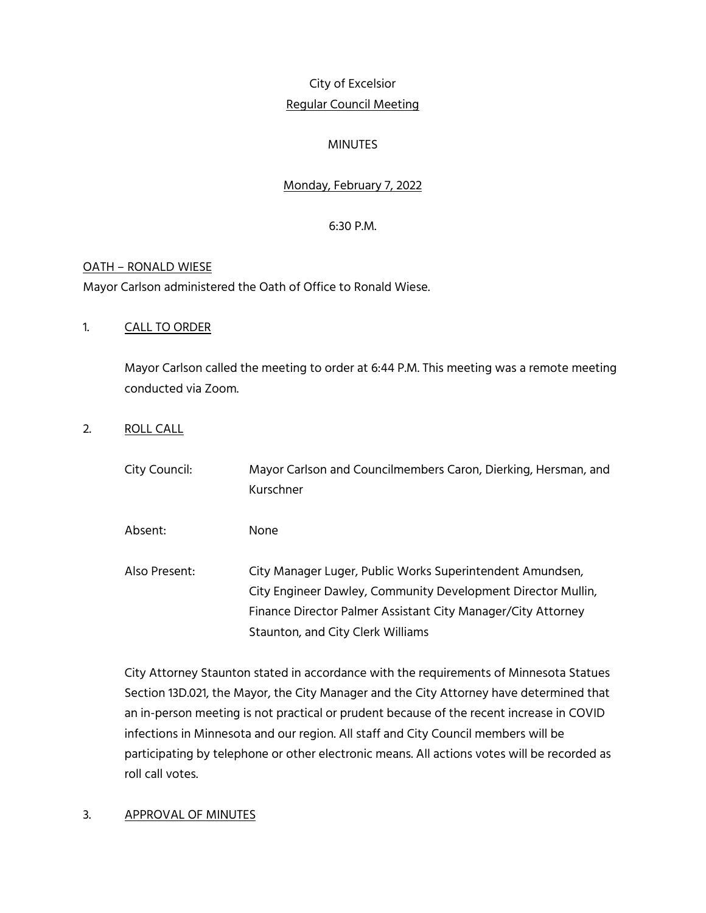# City of Excelsior Regular Council Meeting

# MINUTES

# Monday, February 7, 2022

# 6:30 P.M.

# OATH – RONALD WIESE

Mayor Carlson administered the Oath of Office to Ronald Wiese.

# 1. CALL TO ORDER

Mayor Carlson called the meeting to order at 6:44 P.M. This meeting was a remote meeting conducted via Zoom.

# 2. ROLL CALL

| City Council: | Mayor Carlson and Councilmembers Caron, Dierking, Hersman, and<br>Kurschner                                                                                                                                                    |
|---------------|--------------------------------------------------------------------------------------------------------------------------------------------------------------------------------------------------------------------------------|
| Absent:       | None                                                                                                                                                                                                                           |
| Also Present: | City Manager Luger, Public Works Superintendent Amundsen,<br>City Engineer Dawley, Community Development Director Mullin,<br>Finance Director Palmer Assistant City Manager/City Attorney<br>Staunton, and City Clerk Williams |

City Attorney Staunton stated in accordance with the requirements of Minnesota Statues Section 13D.021, the Mayor, the City Manager and the City Attorney have determined that an in-person meeting is not practical or prudent because of the recent increase in COVID infections in Minnesota and our region. All staff and City Council members will be participating by telephone or other electronic means. All actions votes will be recorded as roll call votes.

# 3. APPROVAL OF MINUTES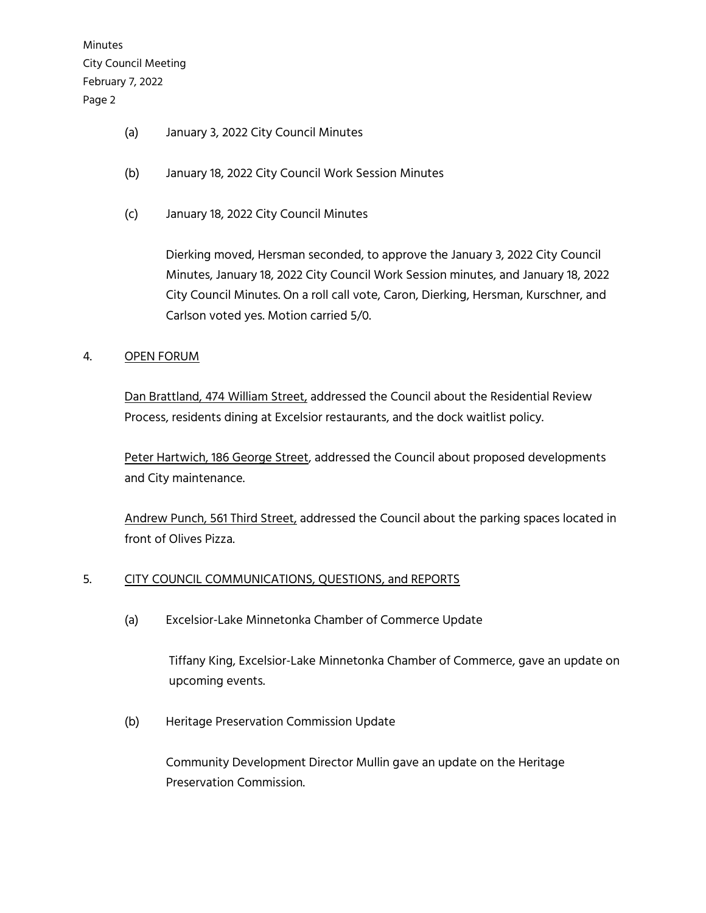Minutes City Council Meeting February 7, 2022 Page 2

- (a) January 3, 2022 City Council Minutes
- (b) January 18, 2022 City Council Work Session Minutes
- (c) January 18, 2022 City Council Minutes

Dierking moved, Hersman seconded, to approve the January 3, 2022 City Council Minutes, January 18, 2022 City Council Work Session minutes, and January 18, 2022 City Council Minutes. On a roll call vote, Caron, Dierking, Hersman, Kurschner, and Carlson voted yes. Motion carried 5/0.

#### 4. OPEN FORUM

Dan Brattland, 474 William Street, addressed the Council about the Residential Review Process, residents dining at Excelsior restaurants, and the dock waitlist policy.

Peter Hartwich, 186 George Street, addressed the Council about proposed developments and City maintenance.

Andrew Punch, 561 Third Street, addressed the Council about the parking spaces located in front of Olives Pizza.

# 5. CITY COUNCIL COMMUNICATIONS, QUESTIONS, and REPORTS

(a) Excelsior-Lake Minnetonka Chamber of Commerce Update

Tiffany King, Excelsior-Lake Minnetonka Chamber of Commerce, gave an update on upcoming events.

(b) Heritage Preservation Commission Update

Community Development Director Mullin gave an update on the Heritage Preservation Commission.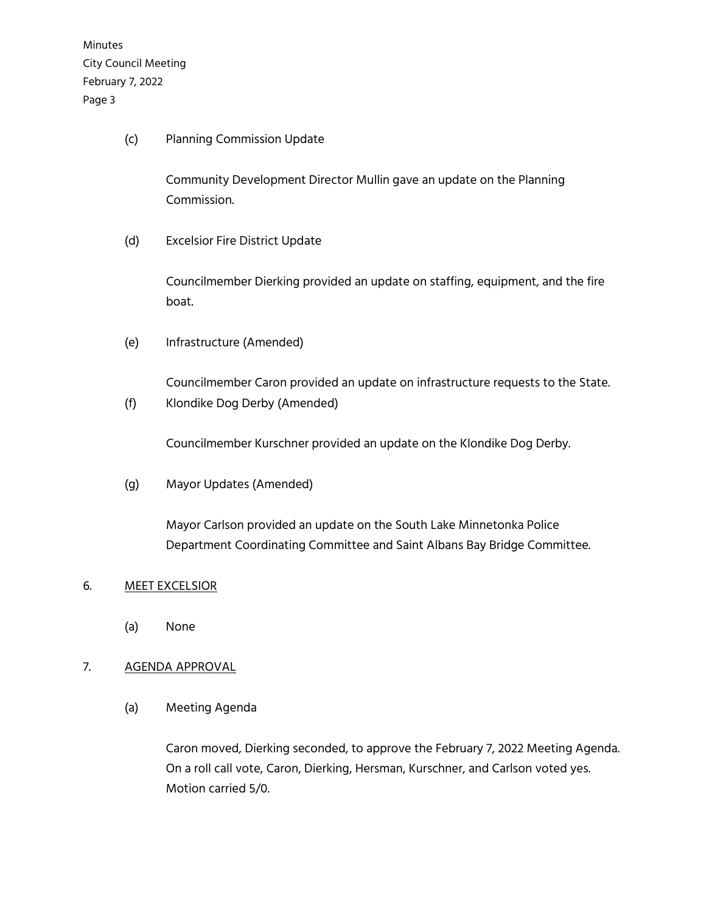Minutes City Council Meeting February 7, 2022 Page 3

(c) Planning Commission Update

Community Development Director Mullin gave an update on the Planning Commission.

(d) Excelsior Fire District Update

Councilmember Dierking provided an update on staffing, equipment, and the fire boat.

(e) Infrastructure (Amended)

Councilmember Caron provided an update on infrastructure requests to the State.

(f) Klondike Dog Derby (Amended)

Councilmember Kurschner provided an update on the Klondike Dog Derby.

(g) Mayor Updates (Amended)

Mayor Carlson provided an update on the South Lake Minnetonka Police Department Coordinating Committee and Saint Albans Bay Bridge Committee.

#### 6. MEET EXCELSIOR

(a) None

# 7. AGENDA APPROVAL

(a) Meeting Agenda

Caron moved, Dierking seconded, to approve the February 7, 2022 Meeting Agenda. On a roll call vote, Caron, Dierking, Hersman, Kurschner, and Carlson voted yes. Motion carried 5/0.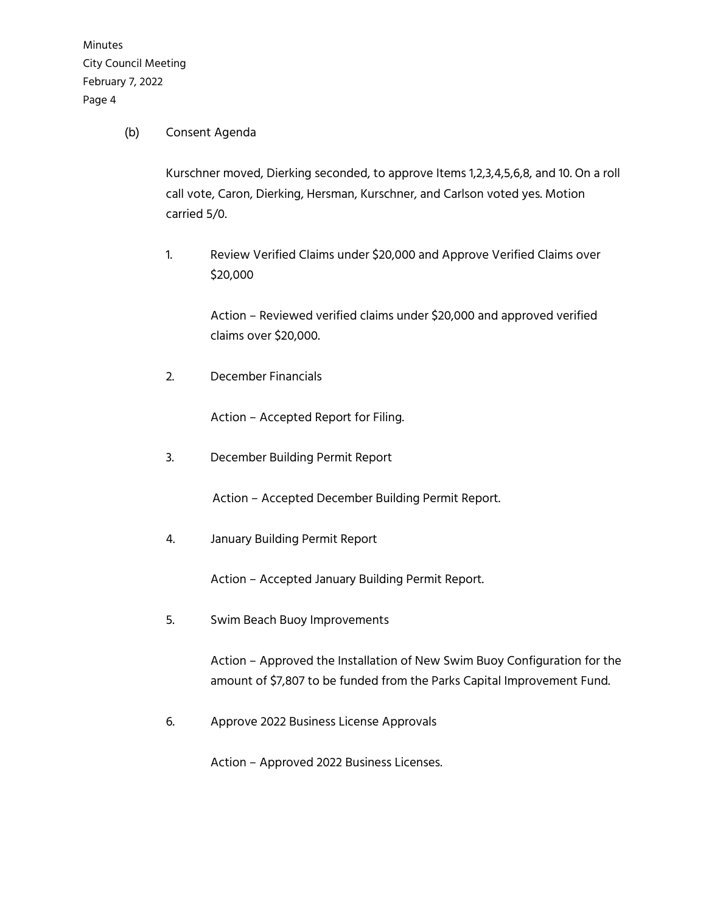Minutes City Council Meeting February 7, 2022 Page 4

#### (b) Consent Agenda

Kurschner moved, Dierking seconded, to approve Items 1,2,3,4,5,6,8, and 10. On a roll call vote, Caron, Dierking, Hersman, Kurschner, and Carlson voted yes. Motion carried 5/0.

1. Review Verified Claims under \$20,000 and Approve Verified Claims over \$20,000

> Action – Reviewed verified claims under \$20,000 and approved verified claims over \$20,000.

2. December Financials

Action – Accepted Report for Filing.

3. December Building Permit Report

Action – Accepted December Building Permit Report.

4. January Building Permit Report

Action – Accepted January Building Permit Report.

5. Swim Beach Buoy Improvements

Action – Approved the Installation of New Swim Buoy Configuration for the amount of \$7,807 to be funded from the Parks Capital Improvement Fund.

6. Approve 2022 Business License Approvals

Action – Approved 2022 Business Licenses.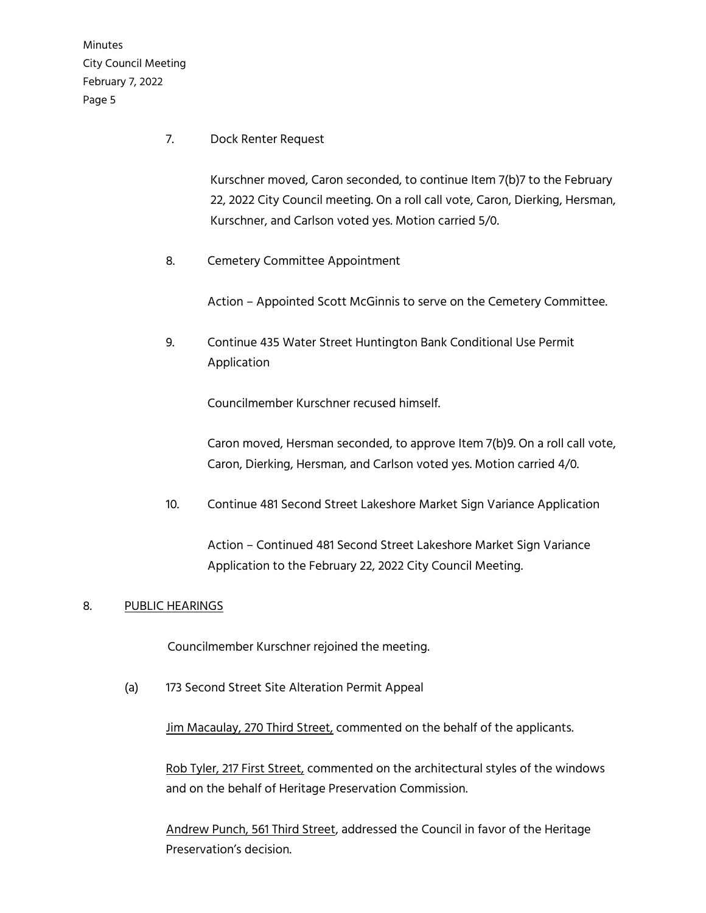Minutes City Council Meeting February 7, 2022 Page 5

7. Dock Renter Request

Kurschner moved, Caron seconded, to continue Item 7(b)7 to the February 22, 2022 City Council meeting. On a roll call vote, Caron, Dierking, Hersman, Kurschner, and Carlson voted yes. Motion carried 5/0.

8. Cemetery Committee Appointment

Action – Appointed Scott McGinnis to serve on the Cemetery Committee.

9. Continue 435 Water Street Huntington Bank Conditional Use Permit Application

Councilmember Kurschner recused himself.

Caron moved, Hersman seconded, to approve Item 7(b)9. On a roll call vote, Caron, Dierking, Hersman, and Carlson voted yes. Motion carried 4/0.

10. Continue 481 Second Street Lakeshore Market Sign Variance Application

Action – Continued 481 Second Street Lakeshore Market Sign Variance Application to the February 22, 2022 City Council Meeting.

#### 8. PUBLIC HEARINGS

Councilmember Kurschner rejoined the meeting.

(a) 173 Second Street Site Alteration Permit Appeal

Jim Macaulay, 270 Third Street, commented on the behalf of the applicants.

Rob Tyler, 217 First Street, commented on the architectural styles of the windows and on the behalf of Heritage Preservation Commission.

Andrew Punch, 561 Third Street, addressed the Council in favor of the Heritage Preservation's decision.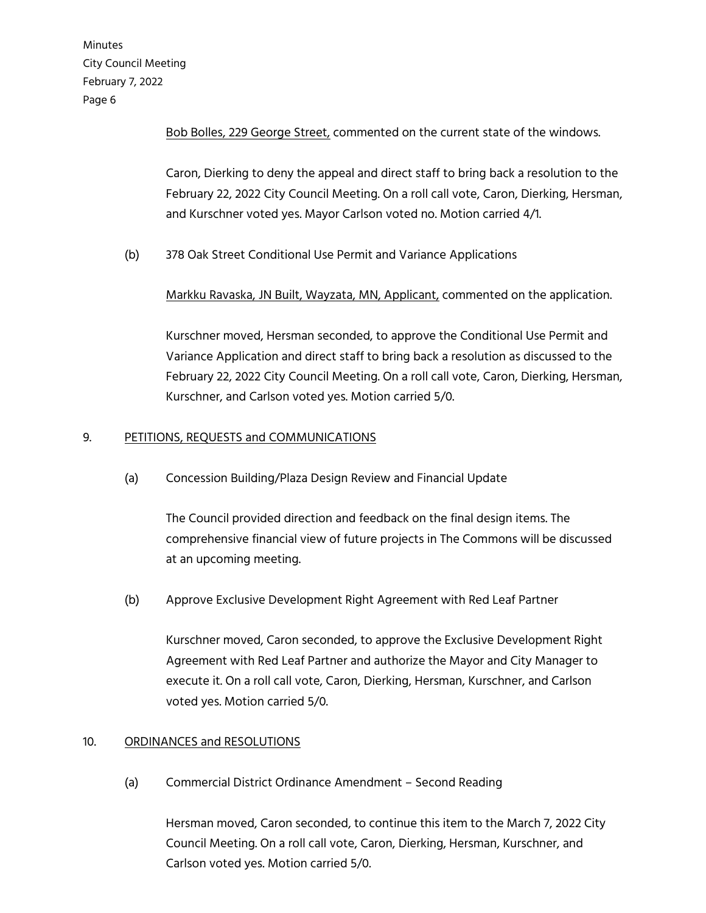Minutes City Council Meeting February 7, 2022 Page 6

Bob Bolles, 229 George Street, commented on the current state of the windows.

Caron, Dierking to deny the appeal and direct staff to bring back a resolution to the February 22, 2022 City Council Meeting. On a roll call vote, Caron, Dierking, Hersman, and Kurschner voted yes. Mayor Carlson voted no. Motion carried 4/1.

(b) 378 Oak Street Conditional Use Permit and Variance Applications

Markku Ravaska, JN Built, Wayzata, MN, Applicant, commented on the application.

Kurschner moved, Hersman seconded, to approve the Conditional Use Permit and Variance Application and direct staff to bring back a resolution as discussed to the February 22, 2022 City Council Meeting. On a roll call vote, Caron, Dierking, Hersman, Kurschner, and Carlson voted yes. Motion carried 5/0.

# 9. PETITIONS, REQUESTS and COMMUNICATIONS

(a) Concession Building/Plaza Design Review and Financial Update

The Council provided direction and feedback on the final design items. The comprehensive financial view of future projects in The Commons will be discussed at an upcoming meeting.

(b) Approve Exclusive Development Right Agreement with Red Leaf Partner

Kurschner moved, Caron seconded, to approve the Exclusive Development Right Agreement with Red Leaf Partner and authorize the Mayor and City Manager to execute it. On a roll call vote, Caron, Dierking, Hersman, Kurschner, and Carlson voted yes. Motion carried 5/0.

# 10. ORDINANCES and RESOLUTIONS

(a) Commercial District Ordinance Amendment – Second Reading

Hersman moved, Caron seconded, to continue this item to the March 7, 2022 City Council Meeting. On a roll call vote, Caron, Dierking, Hersman, Kurschner, and Carlson voted yes. Motion carried 5/0.